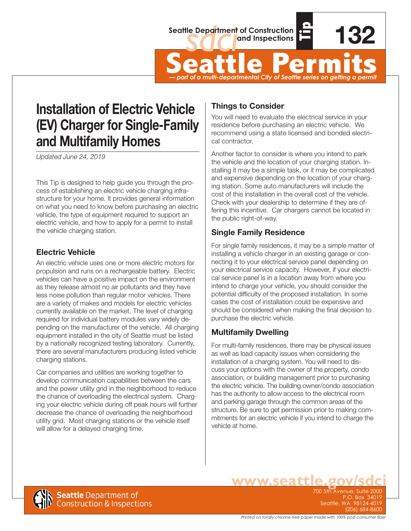



**132**

Seattle Department of Construction<br> **Seattle Permits**<br>
Seattle Permits<br>  $\frac{1}{2}$ *— part of a multi-departmental City of Seattle series on getting a permit*

# **Installation of Electric Vehicle (EV) Charger for Single-Family and Multifamily Homes**

*Updated June 24, 2019*

This Tip is designed to help guide you through the process of establishing an electric vehicle charging infrastructure for your home. It provides general information on what you need to know before purchasing an electric vehicle, the type of equipment required to support an electric vehicle, and how to apply for a permit to install the vehicle charging station.

### **Electric Vehicle**

An electric vehicle uses one or more electric motors for propulsion and runs on a rechargeable battery. Electric vehicles can have a positive impact on the environment as they release almost no air pollutants and they have less noise pollution than regular motor vehicles. There are a variety of makes and models for electric vehicles currently available on the market. The level of charging required for individual battery modules vary widely depending on the manufacturer of the vehicle. All charging equipment installed in the city of Seattle must be listed by a nationally recognized testing laboratory. Currently, there are several manufacturers producing listed vehicle charging stations.

Car companies and utilities are working together to develop communication capabilities between the cars and the power utility grid in the neighborhood to reduce the chance of overloading the electrical system. Charging your electric vehicle during off peak hours will further decrease the chance of overloading the neighborhood utility grid. Most charging stations or the vehicle itself will allow for a delayed charging time.

### **Things to Consider**

You will need to evaluate the electrical service in your residence before purchasing an electric vehicle. We recommend using a state licensed and bonded electrical contractor.

Another factor to consider is where you intend to park the vehicle and the location of your charging station. Installing it may be a simple task, or it may be complicated and expensive depending on the location of your charging station. Some auto manufacturers will include the cost of this installation in the overall cost of the vehicle. Check with your dealership to determine if they are offering this incentive. Car chargers cannot be located in the public right-of-way.

## **Single Family Residence**

For single family residences, it may be a simple matter of installing a vehicle charger in an existing garage or connecting it to your electrical service panel depending on your electrical service capacity. However, if your electrical service panel is in a location away from where you intend to charge your vehicle, you should consider the potential difficulty of the proposed installation. In some cases the cost of installation could be expensive and should be considered when making the final decision to purchase the electric vehicle.

### **Multifamily Dwelling**

ww.ws

For multi-family residences, there may be physical issues as well as load capacity issues when considering the installation of a charging system. You will need to discuss your options with the owner of the property, condo association, or building management prior to purchasing the electric vehicle. The building owner/condo association has the authority to allow access to the electrical room and parking garage through the common areas of the structure. Be sure to get permission prior to making commitments for an electric vehicle if you intend to charge the vehicle at home.



P.O. Box 3 Seattle, WA 98124-4019 (206) 684-8600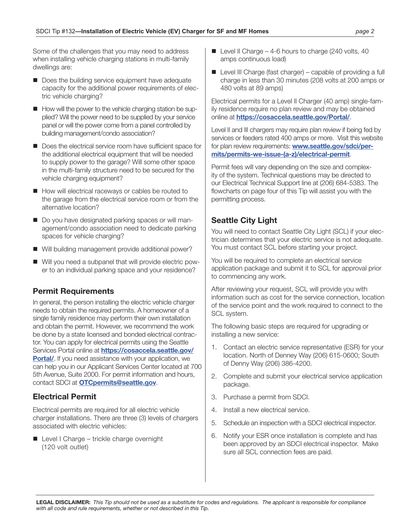Some of the challenges that you may need to address when installing vehicle charging stations in multi-family dwellings are:

- $\blacksquare$  Does the building service equipment have adequate capacity for the additional power requirements of electric vehicle charging?
- $\blacksquare$  How will the power to the vehicle charging station be supplied? Will the power need to be supplied by your service panel or will the power come from a panel controlled by building management/condo association?
- $\blacksquare$  Does the electrical service room have sufficient space for the additional electrical equipment that will be needed to supply power to the garage? Will some other space in the multi-family structure need to be secured for the vehicle charging equipment?
- $\blacksquare$  How will electrical raceways or cables be routed to the garage from the electrical service room or from the alternative location?
- Do you have designated parking spaces or will management/condo association need to dedicate parking spaces for vehicle charging?
- Will building management provide additional power?
- Will you need a subpanel that will provide electric power to an individual parking space and your residence?

#### **Permit Requirements**

In general, the person installing the electric vehicle charger needs to obtain the required permits. A homeowner of a single family residence may perform their own installation and obtain the permit. However, we recommend the work be done by a state licensed and bonded electrical contractor. You can apply for electrical permits using the Seattle Services Portal online at **[https://cosaccela.seattle.gov/](https://cosaccela.seattle.gov/Portal/) [Portal/](https://cosaccela.seattle.gov/Portal/)**. If you need assistance with your application, we can help you in our Applicant Services Center located at 700 5th Avenue, Suite 2000. For permit information and hours, contact SDCI at **[OTCpermits@seattle.gov](mailto:OTCpermits@seattle.gov)**.

#### **Electrical Permit**

Electrical permits are required for all electric vehicle charger installations. There are three (3) levels of chargers associated with electric vehicles:

 $\blacksquare$  Level I Charge – trickle charge overnight (120 volt outlet)

- $\blacksquare$  Level II Charge 4-6 hours to charge (240 volts, 40 amps continuous load)
- $\blacksquare$  Level III Charge (fast charger) capable of providing a full charge in less than 30 minutes (208 volts at 200 amps or 480 volts at 89 amps)

Electrical permits for a Level II Charger (40 amp) single-family residence require no plan review and may be obtained online at **<https://cosaccela.seattle.gov/Portal/>**.

Level II and III chargers may require plan review if being fed by services or feeders rated 400 amps or more. Visit this website for plan review requirements: **[www.seattle.gov/sdci/per](http://www.seattle.gov/sdci/permits/permits-we-issue-(a-z)/electrical-permit)[mits/permits-we-issue-\(a-z\)/electrical-permit](http://www.seattle.gov/sdci/permits/permits-we-issue-(a-z)/electrical-permit)**.

Permit fees will vary depending on the size and complexity of the system. Technical questions may be directed to our Electrical Technical Support line at (206) 684-5383. The flowcharts on page four of this Tip will assist you with the permitting process.

#### **Seattle City Light**

You will need to contact Seattle City Light (SCL) if your electrician determines that your electric service is not adequate. You must contact SCL before starting your project.

You will be required to complete an electrical service application package and submit it to SCL for approval prior to commencing any work.

After reviewing your request, SCL will provide you with information such as cost for the service connection, location of the service point and the work required to connect to the SCL system.

The following basic steps are required for upgrading or installing a new service:

- 1. Contact an electric service representative (ESR) for your location. North of Denney Way (206) 615-0600; South of Denny Way (206) 386-4200.
- 2. Complete and submit your electrical service application package.
- 3. Purchase a permit from SDCI.
- 4. Install a new electrical service.
- 5. Schedule an inspection with a SDCI electrical inspector.
- 6. Notify your ESR once installation is complete and has been approved by an SDCI electrical inspector. Make sure all SCL connection fees are paid.